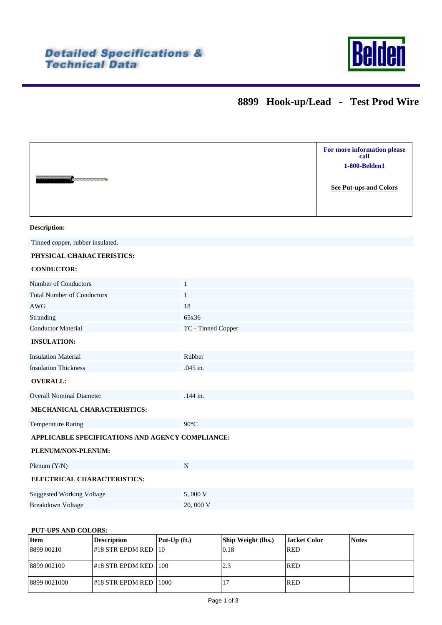

## **8899 Hook-up/Lead - Test Prod Wire**

| <b><i>Communication</i></b>                      |                    | For more information please<br>call<br>1-800-Belden1<br><b>See Put-ups and Colors</b> |  |  |  |
|--------------------------------------------------|--------------------|---------------------------------------------------------------------------------------|--|--|--|
| <b>Description:</b>                              |                    |                                                                                       |  |  |  |
| Tinned copper, rubber insulated.                 |                    |                                                                                       |  |  |  |
| PHYSICAL CHARACTERISTICS:                        |                    |                                                                                       |  |  |  |
| <b>CONDUCTOR:</b>                                |                    |                                                                                       |  |  |  |
| Number of Conductors                             | $\mathbf{1}$       |                                                                                       |  |  |  |
| <b>Total Number of Conductors</b>                | $\mathbf{1}$       |                                                                                       |  |  |  |
| AWG                                              | 18                 |                                                                                       |  |  |  |
| Stranding                                        | 65x36              |                                                                                       |  |  |  |
| <b>Conductor Material</b>                        | TC - Tinned Copper |                                                                                       |  |  |  |
| <b>INSULATION:</b>                               |                    |                                                                                       |  |  |  |
| <b>Insulation Material</b>                       | Rubber             |                                                                                       |  |  |  |
| <b>Insulation Thickness</b>                      | .045 in.           |                                                                                       |  |  |  |
| <b>OVERALL:</b>                                  |                    |                                                                                       |  |  |  |
| <b>Overall Nominal Diameter</b>                  | .144 in.           |                                                                                       |  |  |  |
| MECHANICAL CHARACTERISTICS:                      |                    |                                                                                       |  |  |  |
| <b>Temperature Rating</b>                        | $90^{\circ}$ C     |                                                                                       |  |  |  |
| APPLICABLE SPECIFICATIONS AND AGENCY COMPLIANCE: |                    |                                                                                       |  |  |  |
| PLENUM/NON-PLENUM:                               |                    |                                                                                       |  |  |  |
| Plenum $(Y/N)$                                   | ${\bf N}$          |                                                                                       |  |  |  |
| ELECTRICAL CHARACTERISTICS:                      |                    |                                                                                       |  |  |  |
| <b>Suggested Working Voltage</b>                 | 5,000 V            |                                                                                       |  |  |  |
| <b>Breakdown Voltage</b>                         | 20,000 V           |                                                                                       |  |  |  |

## <span id="page-0-0"></span>**PUT-UPS AND COLORS:**

| Item         | <b>Description</b>              | $\left  \text{Put-Up (ft.)} \right\rangle$ | <b>Ship Weight (lbs.)</b> | <b>Jacket Color</b> | <b>Notes</b> |
|--------------|---------------------------------|--------------------------------------------|---------------------------|---------------------|--------------|
| 8899 00210   | #18 STR EPDM RED   10           |                                            | 10.18                     | <b>RED</b>          |              |
| 8899 002100  | #18 STR EPDM RED  100           |                                            | 2.3                       | <b>RED</b>          |              |
| 8899 0021000 | $\#18$ STR EPDM RED $\mid$ 1000 |                                            | 17                        | <b>RED</b>          |              |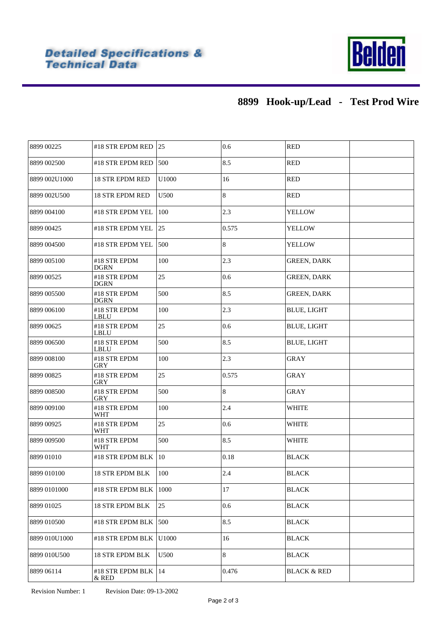

## **8899 Hook-up/Lead - Test Prod Wire**

| 8899 00225    | #18 STR EPDM RED            | 25    | 0.6   | <b>RED</b>             |
|---------------|-----------------------------|-------|-------|------------------------|
| 8899 002500   | #18 STR EPDM RED            | 500   | 8.5   | <b>RED</b>             |
| 8899 002U1000 | <b>18 STR EPDM RED</b>      | U1000 | 16    | <b>RED</b>             |
| 8899 002U500  | <b>18 STR EPDM RED</b>      | U500  | 8     | <b>RED</b>             |
| 8899 004100   | #18 STR EPDM YEL            | 100   | 2.3   | <b>YELLOW</b>          |
| 8899 00425    | #18 STR EPDM YEL            | 25    | 0.575 | <b>YELLOW</b>          |
| 8899 004500   | #18 STR EPDM YEL            | 500   | 8     | YELLOW                 |
| 8899 005100   | #18 STR EPDM<br><b>DGRN</b> | 100   | 2.3   | <b>GREEN, DARK</b>     |
| 8899 00525    | #18 STR EPDM<br><b>DGRN</b> | 25    | 0.6   | <b>GREEN, DARK</b>     |
| 8899 005500   | #18 STR EPDM<br><b>DGRN</b> | 500   | 8.5   | <b>GREEN, DARK</b>     |
| 8899 006100   | #18 STR EPDM<br><b>LBLU</b> | 100   | 2.3   | <b>BLUE, LIGHT</b>     |
| 8899 00625    | #18 STR EPDM<br><b>LBLU</b> | 25    | 0.6   | <b>BLUE, LIGHT</b>     |
| 8899 006500   | #18 STR EPDM<br>LBLU        | 500   | 8.5   | <b>BLUE, LIGHT</b>     |
| 8899 008100   | #18 STR EPDM<br><b>GRY</b>  | 100   | 2.3   | <b>GRAY</b>            |
| 8899 00825    | #18 STR EPDM<br>GRY         | 25    | 0.575 | <b>GRAY</b>            |
| 8899 008500   | #18 STR EPDM<br><b>GRY</b>  | 500   | 8     | <b>GRAY</b>            |
| 8899 009100   | #18 STR EPDM<br>WHT         | 100   | 2.4   | <b>WHITE</b>           |
| 8899 00925    | #18 STR EPDM<br>WHT         | 25    | 0.6   | <b>WHITE</b>           |
| 8899 009500   | #18 STR EPDM<br><b>WHT</b>  | 500   | 8.5   | <b>WHITE</b>           |
| 8899 01010    | #18 STR EPDM BLK            | 10    | 0.18  | <b>BLACK</b>           |
| 8899 010100   | <b>18 STR EPDM BLK</b>      | 100   | 2.4   | <b>BLACK</b>           |
| 8899 0101000  | #18 STR EPDM BLK            | 1000  | 17    | <b>BLACK</b>           |
| 8899 01025    | 18 STR EPDM BLK             | 25    | 0.6   | <b>BLACK</b>           |
| 8899 010500   | #18 STR EPDM BLK            | 500   | 8.5   | <b>BLACK</b>           |
| 8899 010U1000 | #18 STR EPDM BLK            | U1000 | 16    | <b>BLACK</b>           |
| 8899 010U500  | 18 STR EPDM BLK             | U500  | 8     | <b>BLACK</b>           |
| 8899 06114    | #18 STR EPDM BLK<br>& RED   | 14    | 0.476 | <b>BLACK &amp; RED</b> |
|               |                             |       |       |                        |

Revision Number: 1 Revision Date: 09-13-2002